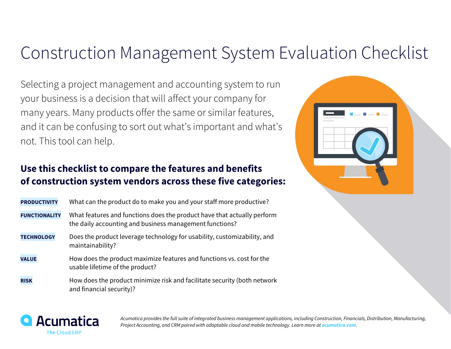## Construction Management System Evaluation Checklist

Selecting a project management and accounting system to run your business is a decision that will affect your company for many years. Many products offer the same or similar features, and it can be confusing to sort out what's important and what's not. This tool can help.

## **Use this checklist to compare the features and benefits of construction system vendors across these five categories:**

| <b>PRODUCTIVITY</b>  | What can the product do to make you and your staff more productive?                                                                |
|----------------------|------------------------------------------------------------------------------------------------------------------------------------|
| <b>FUNCTIONALITY</b> | What features and functions does the product have that actually perform<br>the daily accounting and business management functions? |
| <b>TECHNOLOGY</b>    | Does the product leverage technology for usability, customizability, and<br>maintainability?                                       |
| <b>VALUE</b>         | How does the product maximize features and functions vs. cost for the<br>usable lifetime of the product?                           |
| <b>RISK</b>          | How does the product minimize risk and facilitate security (both network<br>and financial security)?                               |





*Acumatica provides the full suite of integrated business management applications, including Construction, Financials, Distribution, Manufacturing, Project Accounting, and CRM paired with adaptable cloud and mobile technology. Learn more at acumatica.com.*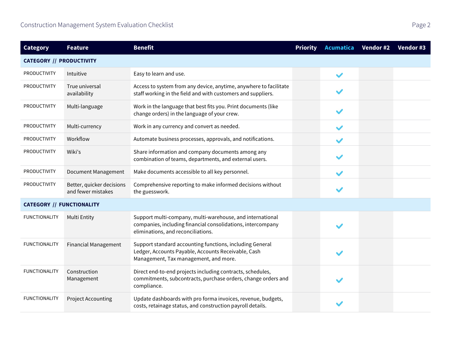| <b>Category</b>                  | <b>Feature</b>                                  | <b>Benefit</b>                                                                                                                                                 | <b>Priority</b> | Acumatica    | Vendor #2 | Vendor #3 |
|----------------------------------|-------------------------------------------------|----------------------------------------------------------------------------------------------------------------------------------------------------------------|-----------------|--------------|-----------|-----------|
| <b>CATEGORY // PRODUCTIVITY</b>  |                                                 |                                                                                                                                                                |                 |              |           |           |
| <b>PRODUCTIVITY</b>              | Intuitive                                       | Easy to learn and use.                                                                                                                                         |                 | $\checkmark$ |           |           |
| <b>PRODUCTIVITY</b>              | True universal<br>availability                  | Access to system from any device, anytime, anywhere to facilitate<br>staff working in the field and with customers and suppliers.                              |                 |              |           |           |
| <b>PRODUCTIVITY</b>              | Multi-language                                  | Work in the language that best fits you. Print documents (like<br>change orders) in the language of your crew.                                                 |                 |              |           |           |
| <b>PRODUCTIVITY</b>              | Multi-currency                                  | Work in any currency and convert as needed.                                                                                                                    |                 |              |           |           |
| <b>PRODUCTIVITY</b>              | Workflow                                        | Automate business processes, approvals, and notifications.                                                                                                     |                 |              |           |           |
| <b>PRODUCTIVITY</b>              | Wiki's                                          | Share information and company documents among any<br>combination of teams, departments, and external users.                                                    |                 |              |           |           |
| <b>PRODUCTIVITY</b>              | <b>Document Management</b>                      | Make documents accessible to all key personnel.                                                                                                                |                 |              |           |           |
| <b>PRODUCTIVITY</b>              | Better, quicker decisions<br>and fewer mistakes | Comprehensive reporting to make informed decisions without<br>the guesswork.                                                                                   |                 | $\checkmark$ |           |           |
| <b>CATEGORY // FUNCTIONALITY</b> |                                                 |                                                                                                                                                                |                 |              |           |           |
| <b>FUNCTIONALITY</b>             | Multi Entity                                    | Support multi-company, multi-warehouse, and international<br>companies, including financial consolidations, intercompany<br>eliminations, and reconciliations. |                 |              |           |           |
| <b>FUNCTIONALITY</b>             | <b>Financial Management</b>                     | Support standard accounting functions, including General<br>Ledger, Accounts Payable, Accounts Receivable, Cash<br>Management, Tax management, and more.       |                 |              |           |           |
| <b>FUNCTIONALITY</b>             | Construction<br>Management                      | Direct end-to-end projects including contracts, schedules,<br>commitments, subcontracts, purchase orders, change orders and<br>compliance.                     |                 |              |           |           |
| <b>FUNCTIONALITY</b>             | <b>Project Accounting</b>                       | Update dashboards with pro forma invoices, revenue, budgets,<br>costs, retainage status, and construction payroll details.                                     |                 |              |           |           |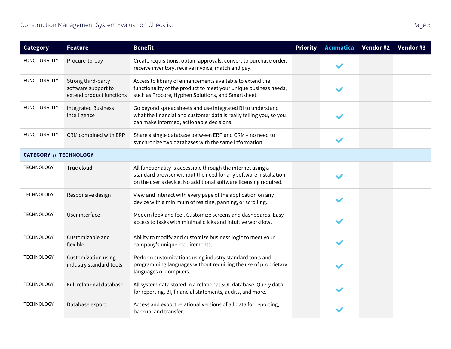| <b>Category</b>               | <b>Feature</b>                                                        | <b>Benefit</b>                                                                                                                                                                                      | <b>Priority</b> | <b>Acumatica</b> | Vendor #2 | Vendor #3 |
|-------------------------------|-----------------------------------------------------------------------|-----------------------------------------------------------------------------------------------------------------------------------------------------------------------------------------------------|-----------------|------------------|-----------|-----------|
| <b>FUNCTIONALITY</b>          | Procure-to-pay                                                        | Create requisitions, obtain approvals, convert to purchase order,<br>receive inventory, receive invoice, match and pay.                                                                             |                 |                  |           |           |
| <b>FUNCTIONALITY</b>          | Strong third-party<br>software support to<br>extend product functions | Access to library of enhancements available to extend the<br>functionality of the product to meet your unique business needs,<br>such as Procore, Hyphen Solutions, and Smartsheet.                 |                 |                  |           |           |
| <b>FUNCTIONALITY</b>          | <b>Integrated Business</b><br>Intelligence                            | Go beyond spreadsheets and use integrated BI to understand<br>what the financial and customer data is really telling you, so you<br>can make informed, actionable decisions.                        |                 |                  |           |           |
| <b>FUNCTIONALITY</b>          | CRM combined with ERP                                                 | Share a single database between ERP and CRM - no need to<br>synchronize two databases with the same information.                                                                                    |                 |                  |           |           |
| <b>CATEGORY // TECHNOLOGY</b> |                                                                       |                                                                                                                                                                                                     |                 |                  |           |           |
| <b>TECHNOLOGY</b>             | True cloud                                                            | All functionality is accessible through the internet using a<br>standard browser without the need for any software installation<br>on the user's device. No additional software licensing required. |                 |                  |           |           |
| <b>TECHNOLOGY</b>             | Responsive design                                                     | View and interact with every page of the application on any<br>device with a minimum of resizing, panning, or scrolling.                                                                            |                 |                  |           |           |
| <b>TECHNOLOGY</b>             | User interface                                                        | Modern look and feel. Customize screens and dashboards. Easy<br>access to tasks with minimal clicks and intuitive workflow.                                                                         |                 |                  |           |           |
| <b>TECHNOLOGY</b>             | Customizable and<br>flexible                                          | Ability to modify and customize business logic to meet your<br>company's unique requirements.                                                                                                       |                 |                  |           |           |
| <b>TECHNOLOGY</b>             | Customization using<br>industry standard tools                        | Perform customizations using industry standard tools and<br>programming languages without requiring the use of proprietary<br>languages or compilers.                                               |                 |                  |           |           |
| <b>TECHNOLOGY</b>             | Full relational database                                              | All system data stored in a relational SQL database. Query data<br>for reporting, BI, financial statements, audits, and more.                                                                       |                 |                  |           |           |
| <b>TECHNOLOGY</b>             | Database export                                                       | Access and export relational versions of all data for reporting,<br>backup, and transfer.                                                                                                           |                 |                  |           |           |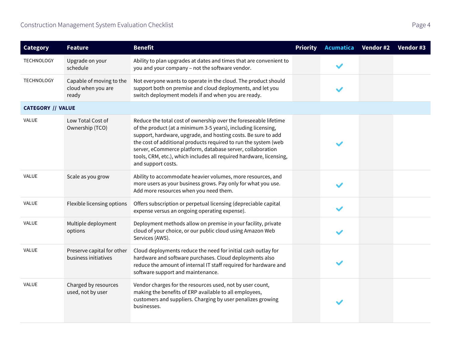| <b>Category</b>          | <b>Feature</b>                                          | <b>Benefit</b>                                                                                                                                                                                                                                                                                                                                                                                                                   | <b>Priority</b> | Acumatica    | Vendor #2 | Vendor #3 |
|--------------------------|---------------------------------------------------------|----------------------------------------------------------------------------------------------------------------------------------------------------------------------------------------------------------------------------------------------------------------------------------------------------------------------------------------------------------------------------------------------------------------------------------|-----------------|--------------|-----------|-----------|
| <b>TECHNOLOGY</b>        | Upgrade on your<br>schedule                             | Ability to plan upgrades at dates and times that are convenient to<br>you and your company - not the software vendor.                                                                                                                                                                                                                                                                                                            |                 |              |           |           |
| <b>TECHNOLOGY</b>        | Capable of moving to the<br>cloud when you are<br>ready | Not everyone wants to operate in the cloud. The product should<br>support both on premise and cloud deployments, and let you<br>switch deployment models if and when you are ready.                                                                                                                                                                                                                                              |                 |              |           |           |
| <b>CATEGORY // VALUE</b> |                                                         |                                                                                                                                                                                                                                                                                                                                                                                                                                  |                 |              |           |           |
| <b>VALUE</b>             | Low Total Cost of<br>Ownership (TCO)                    | Reduce the total cost of ownership over the foreseeable lifetime<br>of the product (at a minimum 3-5 years), including licensing,<br>support, hardware, upgrade, and hosting costs. Be sure to add<br>the cost of additional products required to run the system (web<br>server, eCommerce platform, database server, collaboration<br>tools, CRM, etc.), which includes all required hardware, licensing,<br>and support costs. |                 | $\checkmark$ |           |           |
| <b>VALUE</b>             | Scale as you grow                                       | Ability to accommodate heavier volumes, more resources, and<br>more users as your business grows. Pay only for what you use.<br>Add more resources when you need them.                                                                                                                                                                                                                                                           |                 | $\checkmark$ |           |           |
| <b>VALUE</b>             | Flexible licensing options                              | Offers subscription or perpetual licensing (depreciable capital<br>expense versus an ongoing operating expense).                                                                                                                                                                                                                                                                                                                 |                 |              |           |           |
| <b>VALUE</b>             | Multiple deployment<br>options                          | Deployment methods allow on premise in your facility, private<br>cloud of your choice, or our public cloud using Amazon Web<br>Services (AWS).                                                                                                                                                                                                                                                                                   |                 |              |           |           |
| <b>VALUE</b>             | Preserve capital for other<br>business initiatives      | Cloud deployments reduce the need for initial cash outlay for<br>hardware and software purchases. Cloud deployments also<br>reduce the amount of internal IT staff required for hardware and<br>software support and maintenance.                                                                                                                                                                                                |                 | $\checkmark$ |           |           |
| <b>VALUE</b>             | Charged by resources<br>used, not by user               | Vendor charges for the resources used, not by user count,<br>making the benefits of ERP available to all employees,<br>customers and suppliers. Charging by user penalizes growing<br>businesses.                                                                                                                                                                                                                                |                 | $\checkmark$ |           |           |